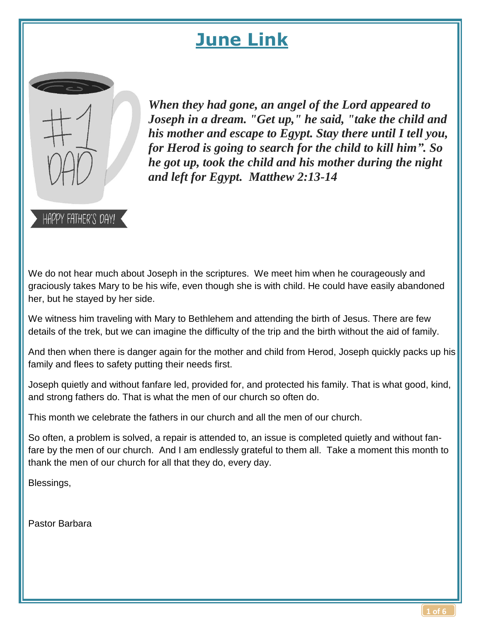# **June Link**



HAPPY FATHER'S DAY!

*When they had gone, an angel of the Lord appeared to Joseph in a dream. "Get up," he said, "take the child and his mother and escape to Egypt. Stay there until I tell you, for Herod is going to search for the child to kill him". So he got up, took the child and his mother during the night and left for Egypt. Matthew 2:13-14*

We do not hear much about Joseph in the scriptures. We meet him when he courageously and graciously takes Mary to be his wife, even though she is with child. He could have easily abandoned her, but he stayed by her side.

We witness him traveling with Mary to Bethlehem and attending the birth of Jesus. There are few details of the trek, but we can imagine the difficulty of the trip and the birth without the aid of family.

And then when there is danger again for the mother and child from Herod, Joseph quickly packs up his family and flees to safety putting their needs first.

Joseph quietly and without fanfare led, provided for, and protected his family. That is what good, kind, and strong fathers do. That is what the men of our church so often do.

This month we celebrate the fathers in our church and all the men of our church.

So often, a problem is solved, a repair is attended to, an issue is completed quietly and without fanfare by the men of our church. And I am endlessly grateful to them all. Take a moment this month to thank the men of our church for all that they do, every day.

Blessings,

Pastor Barbara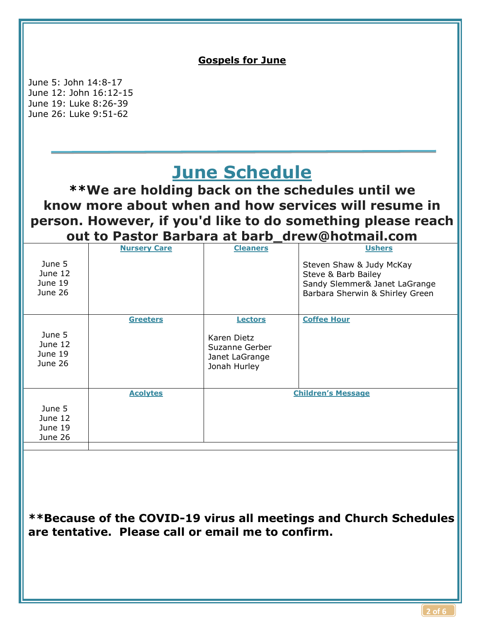

**\*\*Because of the COVID-19 virus all meetings and Church Schedules are tentative. Please call or email me to confirm.**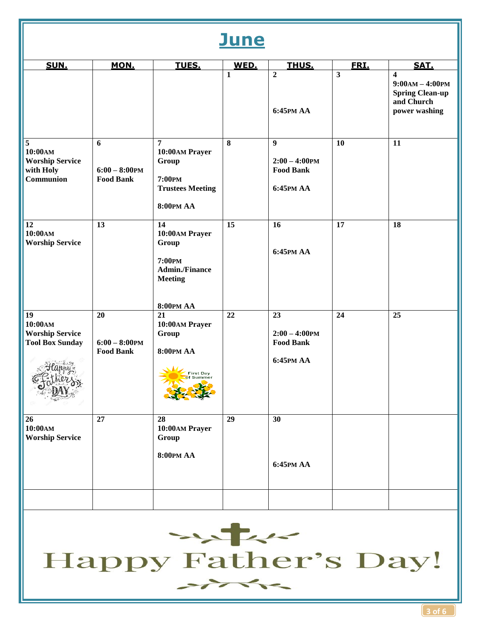## **June**

| SUN.                                                                          | MON.                                       | TUES.                                                                                                  | WED.                    | THUS.                                                               | FRI. | SAT.                                                                                                  |
|-------------------------------------------------------------------------------|--------------------------------------------|--------------------------------------------------------------------------------------------------------|-------------------------|---------------------------------------------------------------------|------|-------------------------------------------------------------------------------------------------------|
|                                                                               |                                            |                                                                                                        | $\mathbf{1}$            | $\overline{2}$<br>6:45PM AA                                         | 3    | $\overline{\mathbf{4}}$<br>$9:00AM - 4:00PM$<br><b>Spring Clean-up</b><br>and Church<br>power washing |
| $\overline{5}$<br>10:00AM<br><b>Worship Service</b><br>with Holy<br>Communion | 6<br>$6:00 - 8:00$ PM<br><b>Food Bank</b>  | $\overline{7}$<br>10:00AM Prayer<br>Group<br>7:00PM<br><b>Trustees Meeting</b><br><b>8:00PM AA</b>     | $\overline{\mathbf{8}}$ | $\overline{9}$<br>$2:00 - 4:00$ PM<br><b>Food Bank</b><br>6:45PM AA | 10   | 11                                                                                                    |
| 12<br>10:00AM<br><b>Worship Service</b>                                       | 13                                         | 14<br>10:00AM Prayer<br>Group<br>7:00PM<br><b>Admin./Finance</b><br><b>Meeting</b><br><b>8:00PM AA</b> | 15                      | 16<br>6:45PM AA                                                     | 17   | 18                                                                                                    |
| 19<br>10:00AM<br><b>Worship Service</b><br><b>Tool Box Sunday</b>             | 20<br>$6:00 - 8:00$ PM<br><b>Food Bank</b> | 21<br>10:00AM Prayer<br>Group<br><b>8:00PM AA</b><br><b>First Day</b>                                  | 22                      | 23<br>$2:00 - 4:00$ PM<br><b>Food Bank</b><br>6:45PM AA             | 24   | 25                                                                                                    |
| 26<br>10:00AM<br><b>Worship Service</b>                                       | 27                                         | 28<br>10:00AM Prayer<br>Group<br><b>8:00PM AA</b>                                                      | 29                      | 30<br>6:45PM AA                                                     |      |                                                                                                       |
|                                                                               |                                            |                                                                                                        |                         |                                                                     |      |                                                                                                       |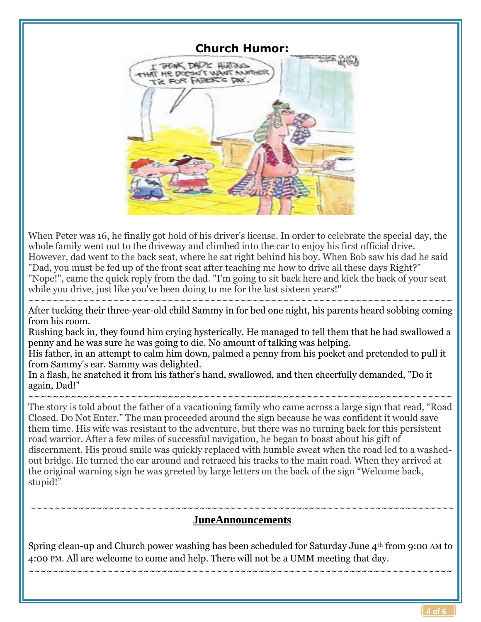

When Peter was 16, he finally got hold of his driver's license. In order to celebrate the special day, the whole family went out to the driveway and climbed into the car to enjoy his first official drive. However, dad went to the back seat, where he sat right behind his boy. When Bob saw his dad he said "Dad, you must be fed up of the front seat after teaching me how to drive all these days Right?" "Nope!", came the quick reply from the dad. "I'm going to sit back here and kick the back of your seat while you drive, just like you've been doing to me for the last sixteen years!"

~~~~~~~~~~~~~~~~~~~~~~~~~~~~~~~~~~~~~~~~~~~~~~~~~~~~~~~~~~~~~~~~~~~~~~ After tucking their three-year-old child Sammy in for bed one night, his parents heard sobbing coming from his room.

Rushing back in, they found him crying hysterically. He managed to tell them that he had swallowed a penny and he was sure he was going to die. No amount of talking was helping.

His father, in an attempt to calm him down, palmed a penny from his pocket and pretended to pull it from Sammy's ear. Sammy was delighted.

In a flash, he snatched it from his father's hand, swallowed, and then cheerfully demanded, "Do it again, Dad!"

~~~~~~~~~~~~~~~~~~~~~~~~~~~~~~~~~~~~~~~~~~~~~~~~~~~~~~~~~~~~~~~~~~~~~~

The story is told about the father of a vacationing family who came across a large sign that read, "Road Closed. Do Not Enter." The man proceeded around the sign because he was confident it would save them time. His wife was resistant to the adventure, but there was no turning back for this persistent road warrior. After a few miles of successful navigation, he began to boast about his gift of discernment. His proud smile was quickly replaced with humble sweat when the road led to a washedout bridge. He turned the car around and retraced his tracks to the main road. When they arrived at the original warning sign he was greeted by large letters on the back of the sign "Welcome back, stupid!"

#### ~~~~~~~~~~~~~~~~~~~~~~~~~~~~~~~~~~~~~~~~~~~~~~~~~~~~~~~~~~~~~~~~~~~~~~ **JuneAnnouncements**

Spring clean-up and Church power washing has been scheduled for Saturday June 4th from 9:00 AM to 4:00 PM. All are welcome to come and help. There will not be a UMM meeting that day.

~~~~~~~~~~~~~~~~~~~~~~~~~~~~~~~~~~~~~~~~~~~~~~~~~~~~~~~~~~~~~~~~~~~~~~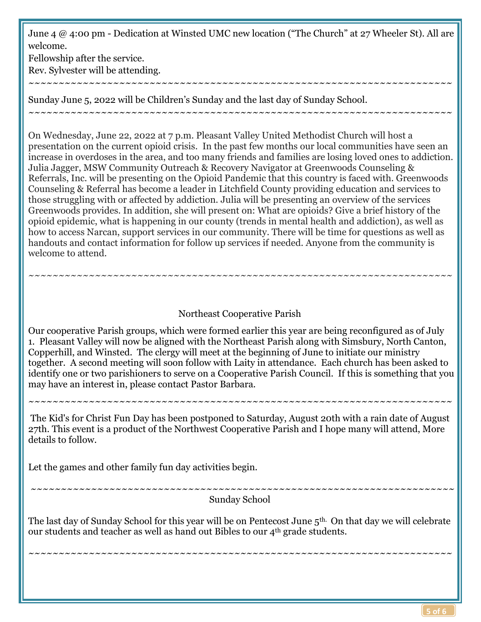June 4 @ 4:00 pm - Dedication at Winsted UMC new location ("The Church" at 27 Wheeler St). All are welcome.

~~~~~~~~~~~~~~~~~~~~~~~~~~~~~~~~~~~~~~~~~~~~~~~~~~~~~~~~~~~~~~~~~~~~~~

~~~~~~~~~~~~~~~~~~~~~~~~~~~~~~~~~~~~~~~~~~~~~~~~~~~~~~~~~~~~~~~~~~~~~~

Fellowship after the service. Rev. Sylvester will be attending.

Sunday June 5, 2022 will be Children's Sunday and the last day of Sunday School.

On Wednesday, June 22, 2022 at 7 p.m. Pleasant Valley United Methodist Church will host a presentation on the current opioid crisis. In the past few months our local communities have seen an increase in overdoses in the area, and too many friends and families are losing loved ones to addiction. Julia Jagger, MSW Community Outreach & Recovery Navigator at Greenwoods Counseling & Referrals, Inc. will be presenting on the Opioid Pandemic that this country is faced with. Greenwoods Counseling & Referral has become a leader in Litchfield County providing education and services to those struggling with or affected by addiction. Julia will be presenting an overview of the services Greenwoods provides. In addition, she will present on: What are opioids? Give a brief history of the opioid epidemic, what is happening in our county (trends in mental health and addiction), as well as how to access Narcan, support services in our community. There will be time for questions as well as handouts and contact information for follow up services if needed. Anyone from the community is welcome to attend.

## Northeast Cooperative Parish

~~~~~~~~~~~~~~~~~~~~~~~~~~~~~~~~~~~~~~~~~~~~~~~~~~~~~~~~~~~~~~~~~~~~~~

~~~~~~~~~~~~~~~~~~~~~~~~~~~~~~~~~~~~~~~~~~~~~~~~~~~~~~~~~~~~~~~~~~~~~~

Our cooperative Parish groups, which were formed earlier this year are being reconfigured as of July 1. Pleasant Valley will now be aligned with the Northeast Parish along with Simsbury, North Canton, Copperhill, and Winsted. The clergy will meet at the beginning of June to initiate our ministry together. A second meeting will soon follow with Laity in attendance. Each church has been asked to identify one or two parishioners to serve on a Cooperative Parish Council. If this is something that you may have an interest in, please contact Pastor Barbara.

The Kid's for Christ Fun Day has been postponed to Saturday, August 20th with a rain date of August 27th. This event is a product of the Northwest Cooperative Parish and I hope many will attend, More details to follow.

Let the games and other family fun day activities begin.

Sunday School

~~~~~~~~~~~~~~~~~~~~~~~~~~~~~~~~~~~~~~~~~~~~~~~~~~~~~~~~~~~~~~~~~~~~~~

~~~~~~~~~~~~~~~~~~~~~~~~~~~~~~~~~~~~~~~~~~~~~~~~~~~~~~~~~~~~~~~~~~~~~~

The last day of Sunday School for this year will be on Pentecost June 5th. On that day we will celebrate our students and teacher as well as hand out Bibles to our 4th grade students.